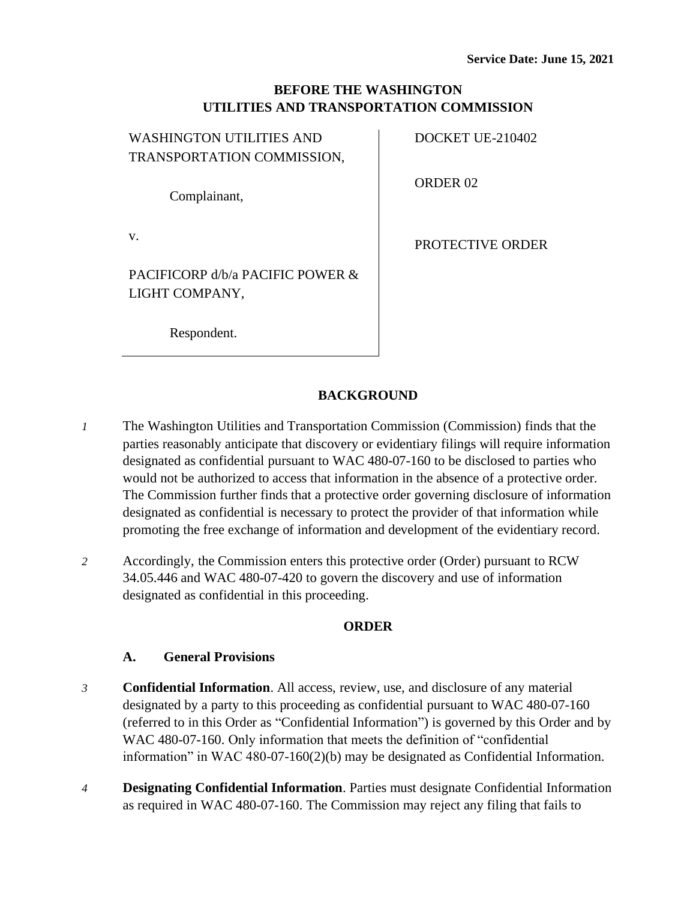# **BEFORE THE WASHINGTON UTILITIES AND TRANSPORTATION COMMISSION**

| <b>WASHINGTON UTILITIES AND</b> |  |  |
|---------------------------------|--|--|
| TRANSPORTATION COMMISSION,      |  |  |
|                                 |  |  |
| Complainant,                    |  |  |

v.

PROTECTIVE ORDER

DOCKET UE-210402

ORDER 02

PACIFICORP d/b/a PACIFIC POWER & LIGHT COMPANY,

Respondent.

# **BACKGROUND**

- *1* The Washington Utilities and Transportation Commission (Commission) finds that the parties reasonably anticipate that discovery or evidentiary filings will require information designated as confidential pursuant to WAC 480-07-160 to be disclosed to parties who would not be authorized to access that information in the absence of a protective order. The Commission further finds that a protective order governing disclosure of information designated as confidential is necessary to protect the provider of that information while promoting the free exchange of information and development of the evidentiary record.
- *2* Accordingly, the Commission enters this protective order (Order) pursuant to RCW 34.05.446 and WAC 480-07-420 to govern the discovery and use of information designated as confidential in this proceeding.

### **ORDER**

### **A. General Provisions**

- *3* **Confidential Information**. All access, review, use, and disclosure of any material designated by a party to this proceeding as confidential pursuant to WAC 480-07-160 (referred to in this Order as "Confidential Information") is governed by this Order and by WAC 480-07-160. Only information that meets the definition of "confidential information" in WAC 480-07-160(2)(b) may be designated as Confidential Information.
- *4* **Designating Confidential Information**. Parties must designate Confidential Information as required in WAC 480-07-160. The Commission may reject any filing that fails to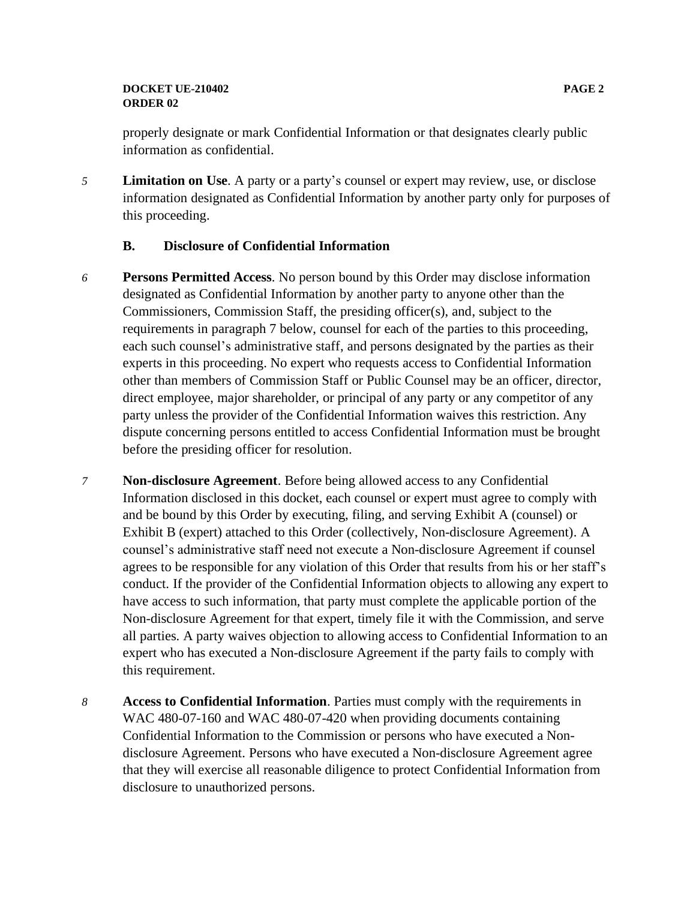### **DOCKET UE-210402 PAGE 2 ORDER 02**

properly designate or mark Confidential Information or that designates clearly public information as confidential.

*5* **Limitation on Use**. A party or a party's counsel or expert may review, use, or disclose information designated as Confidential Information by another party only for purposes of this proceeding.

### **B. Disclosure of Confidential Information**

- *6* **Persons Permitted Access**. No person bound by this Order may disclose information designated as Confidential Information by another party to anyone other than the Commissioners, Commission Staff, the presiding officer(s), and, subject to the requirements in paragraph 7 below, counsel for each of the parties to this proceeding, each such counsel's administrative staff, and persons designated by the parties as their experts in this proceeding. No expert who requests access to Confidential Information other than members of Commission Staff or Public Counsel may be an officer, director, direct employee, major shareholder, or principal of any party or any competitor of any party unless the provider of the Confidential Information waives this restriction. Any dispute concerning persons entitled to access Confidential Information must be brought before the presiding officer for resolution.
- *7* **Non-disclosure Agreement**. Before being allowed access to any Confidential Information disclosed in this docket, each counsel or expert must agree to comply with and be bound by this Order by executing, filing, and serving Exhibit A (counsel) or Exhibit B (expert) attached to this Order (collectively, Non-disclosure Agreement). A counsel's administrative staff need not execute a Non-disclosure Agreement if counsel agrees to be responsible for any violation of this Order that results from his or her staff's conduct. If the provider of the Confidential Information objects to allowing any expert to have access to such information, that party must complete the applicable portion of the Non-disclosure Agreement for that expert, timely file it with the Commission, and serve all parties. A party waives objection to allowing access to Confidential Information to an expert who has executed a Non-disclosure Agreement if the party fails to comply with this requirement.
- *8* **Access to Confidential Information**. Parties must comply with the requirements in WAC 480-07-160 and WAC 480-07-420 when providing documents containing Confidential Information to the Commission or persons who have executed a Nondisclosure Agreement. Persons who have executed a Non-disclosure Agreement agree that they will exercise all reasonable diligence to protect Confidential Information from disclosure to unauthorized persons.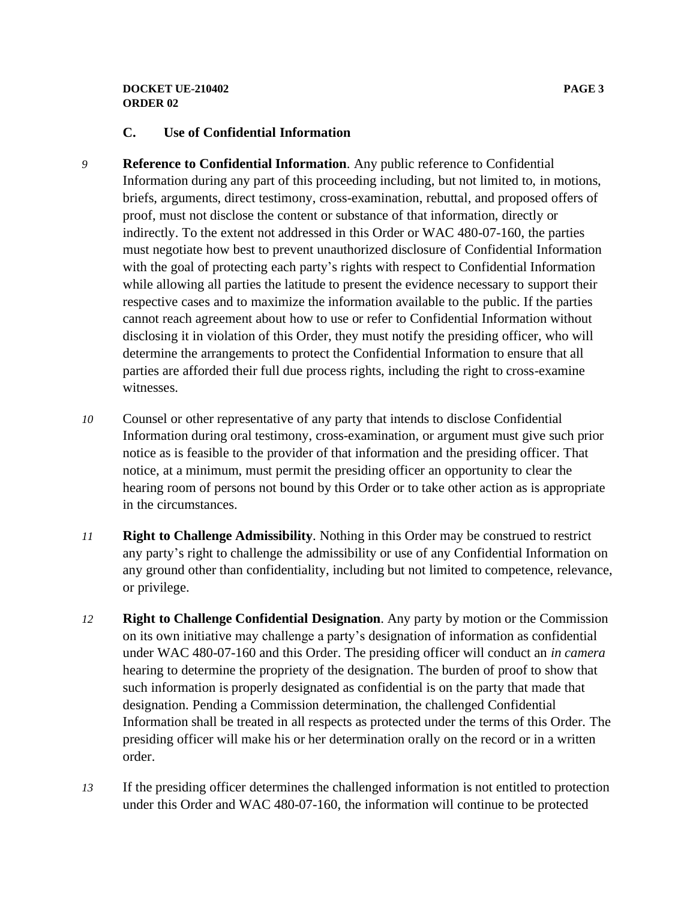### **DOCKET UE-210402 PAGE 3 ORDER 02**

# **C. Use of Confidential Information**

- *9* **Reference to Confidential Information**. Any public reference to Confidential Information during any part of this proceeding including, but not limited to, in motions, briefs, arguments, direct testimony, cross-examination, rebuttal, and proposed offers of proof, must not disclose the content or substance of that information, directly or indirectly. To the extent not addressed in this Order or WAC 480-07-160, the parties must negotiate how best to prevent unauthorized disclosure of Confidential Information with the goal of protecting each party's rights with respect to Confidential Information while allowing all parties the latitude to present the evidence necessary to support their respective cases and to maximize the information available to the public. If the parties cannot reach agreement about how to use or refer to Confidential Information without disclosing it in violation of this Order, they must notify the presiding officer, who will determine the arrangements to protect the Confidential Information to ensure that all parties are afforded their full due process rights, including the right to cross-examine witnesses.
- *10* Counsel or other representative of any party that intends to disclose Confidential Information during oral testimony, cross-examination, or argument must give such prior notice as is feasible to the provider of that information and the presiding officer. That notice, at a minimum, must permit the presiding officer an opportunity to clear the hearing room of persons not bound by this Order or to take other action as is appropriate in the circumstances.
- *11* **Right to Challenge Admissibility**. Nothing in this Order may be construed to restrict any party's right to challenge the admissibility or use of any Confidential Information on any ground other than confidentiality, including but not limited to competence, relevance, or privilege.
- *12* **Right to Challenge Confidential Designation**. Any party by motion or the Commission on its own initiative may challenge a party's designation of information as confidential under WAC 480-07-160 and this Order. The presiding officer will conduct an *in camera* hearing to determine the propriety of the designation. The burden of proof to show that such information is properly designated as confidential is on the party that made that designation. Pending a Commission determination, the challenged Confidential Information shall be treated in all respects as protected under the terms of this Order. The presiding officer will make his or her determination orally on the record or in a written order.
- *13* If the presiding officer determines the challenged information is not entitled to protection under this Order and WAC 480-07-160, the information will continue to be protected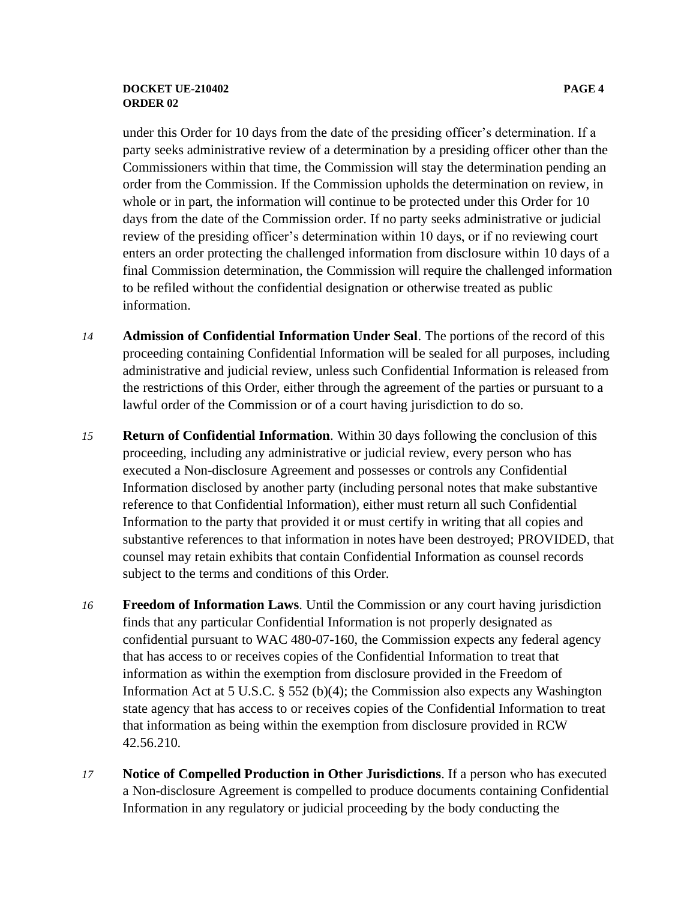#### **DOCKET UE-210402 PAGE 4 ORDER 02**

under this Order for 10 days from the date of the presiding officer's determination. If a party seeks administrative review of a determination by a presiding officer other than the Commissioners within that time, the Commission will stay the determination pending an order from the Commission. If the Commission upholds the determination on review, in whole or in part, the information will continue to be protected under this Order for 10 days from the date of the Commission order. If no party seeks administrative or judicial review of the presiding officer's determination within 10 days, or if no reviewing court enters an order protecting the challenged information from disclosure within 10 days of a final Commission determination, the Commission will require the challenged information to be refiled without the confidential designation or otherwise treated as public information.

- *14* **Admission of Confidential Information Under Seal**. The portions of the record of this proceeding containing Confidential Information will be sealed for all purposes, including administrative and judicial review, unless such Confidential Information is released from the restrictions of this Order, either through the agreement of the parties or pursuant to a lawful order of the Commission or of a court having jurisdiction to do so.
- *15* **Return of Confidential Information**. Within 30 days following the conclusion of this proceeding, including any administrative or judicial review, every person who has executed a Non-disclosure Agreement and possesses or controls any Confidential Information disclosed by another party (including personal notes that make substantive reference to that Confidential Information), either must return all such Confidential Information to the party that provided it or must certify in writing that all copies and substantive references to that information in notes have been destroyed; PROVIDED, that counsel may retain exhibits that contain Confidential Information as counsel records subject to the terms and conditions of this Order.
- *16* **Freedom of Information Laws**. Until the Commission or any court having jurisdiction finds that any particular Confidential Information is not properly designated as confidential pursuant to WAC 480-07-160, the Commission expects any federal agency that has access to or receives copies of the Confidential Information to treat that information as within the exemption from disclosure provided in the Freedom of Information Act at 5 U.S.C. § 552 (b)(4); the Commission also expects any Washington state agency that has access to or receives copies of the Confidential Information to treat that information as being within the exemption from disclosure provided in RCW 42.56.210.
- *17* **Notice of Compelled Production in Other Jurisdictions**. If a person who has executed a Non-disclosure Agreement is compelled to produce documents containing Confidential Information in any regulatory or judicial proceeding by the body conducting the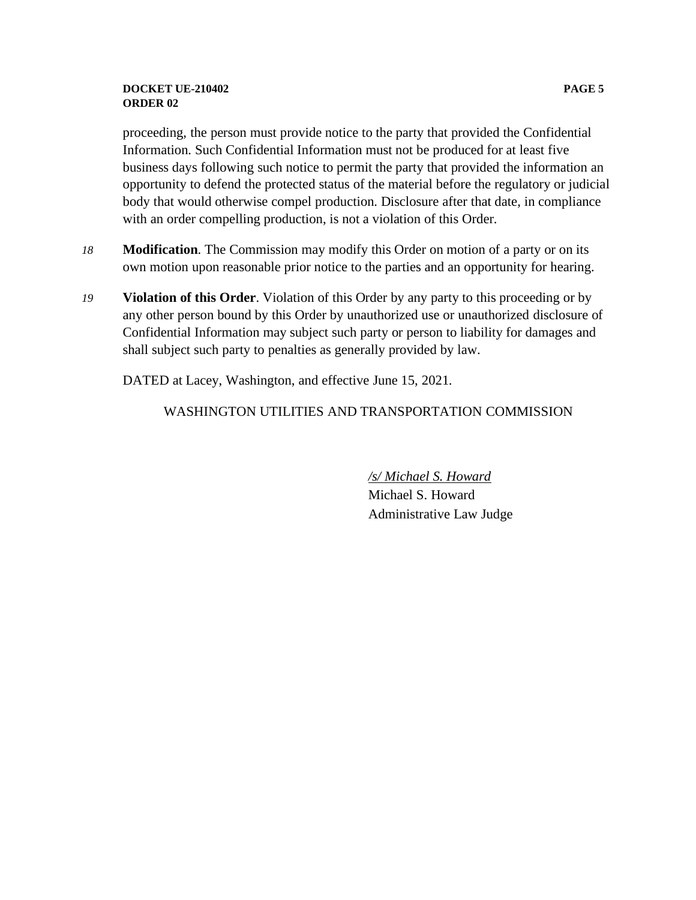### **DOCKET UE-210402 PAGE 5 ORDER 02**

proceeding, the person must provide notice to the party that provided the Confidential Information. Such Confidential Information must not be produced for at least five business days following such notice to permit the party that provided the information an opportunity to defend the protected status of the material before the regulatory or judicial body that would otherwise compel production. Disclosure after that date, in compliance with an order compelling production, is not a violation of this Order.

- *18* **Modification**. The Commission may modify this Order on motion of a party or on its own motion upon reasonable prior notice to the parties and an opportunity for hearing.
- *19* **Violation of this Order**. Violation of this Order by any party to this proceeding or by any other person bound by this Order by unauthorized use or unauthorized disclosure of Confidential Information may subject such party or person to liability for damages and shall subject such party to penalties as generally provided by law.

DATED at Lacey, Washington, and effective June 15, 2021.

### WASHINGTON UTILITIES AND TRANSPORTATION COMMISSION

*/s/ Michael S. Howard* Michael S. Howard Administrative Law Judge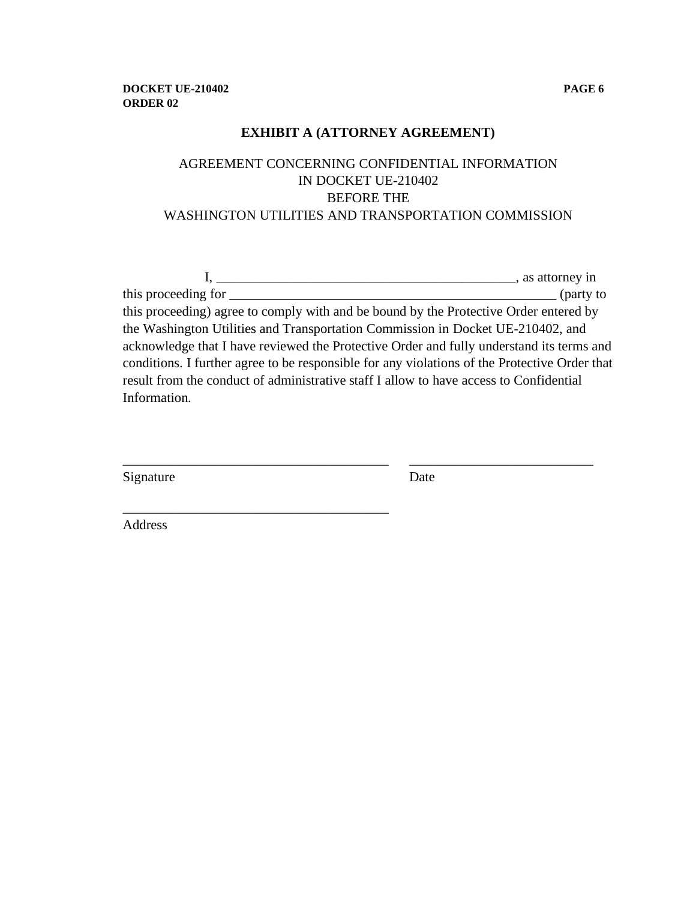# **EXHIBIT A (ATTORNEY AGREEMENT)**

# AGREEMENT CONCERNING CONFIDENTIAL INFORMATION IN DOCKET UE-210402 BEFORE THE WASHINGTON UTILITIES AND TRANSPORTATION COMMISSION

| $\sim$ , as attorney in                                                                       |           |
|-----------------------------------------------------------------------------------------------|-----------|
| this proceeding for                                                                           | (party to |
| this proceeding) agree to comply with and be bound by the Protective Order entered by         |           |
| the Washington Utilities and Transportation Commission in Docket UE-210402, and               |           |
| acknowledge that I have reviewed the Protective Order and fully understand its terms and      |           |
| conditions. I further agree to be responsible for any violations of the Protective Order that |           |
| result from the conduct of administrative staff I allow to have access to Confidential        |           |
| Information.                                                                                  |           |
|                                                                                               |           |

\_\_\_\_\_\_\_\_\_\_\_\_\_\_\_\_\_\_\_\_\_\_\_\_\_\_\_\_\_\_\_\_\_\_\_\_\_\_\_ \_\_\_\_\_\_\_\_\_\_\_\_\_\_\_\_\_\_\_\_\_\_\_\_\_\_\_

\_\_\_\_\_\_\_\_\_\_\_\_\_\_\_\_\_\_\_\_\_\_\_\_\_\_\_\_\_\_\_\_\_\_\_\_\_\_\_

| Signature | Date |
|-----------|------|
|-----------|------|

Address